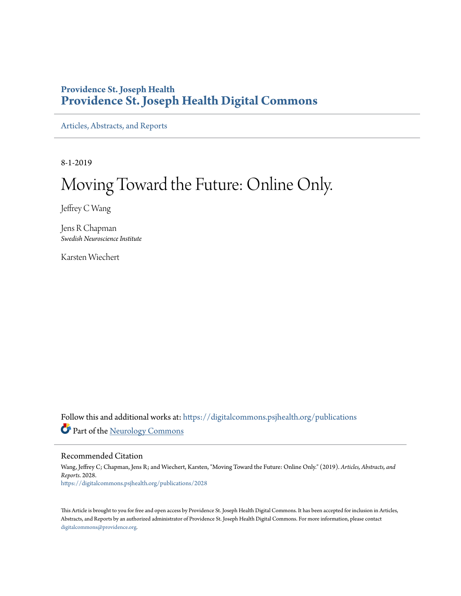## **Providence St. Joseph Health [Providence St. Joseph Health Digital Commons](https://digitalcommons.psjhealth.org/?utm_source=digitalcommons.psjhealth.org%2Fpublications%2F2028&utm_medium=PDF&utm_campaign=PDFCoverPages)**

[Articles, Abstracts, and Reports](https://digitalcommons.psjhealth.org/publications?utm_source=digitalcommons.psjhealth.org%2Fpublications%2F2028&utm_medium=PDF&utm_campaign=PDFCoverPages)

8-1-2019

## Moving Toward the Future: Online Only.

Jeffrey C Wang

Jens R Chapman *Swedish Neuroscience Institute*

Karsten Wiechert

Follow this and additional works at: [https://digitalcommons.psjhealth.org/publications](https://digitalcommons.psjhealth.org/publications?utm_source=digitalcommons.psjhealth.org%2Fpublications%2F2028&utm_medium=PDF&utm_campaign=PDFCoverPages) Part of the [Neurology Commons](http://network.bepress.com/hgg/discipline/692?utm_source=digitalcommons.psjhealth.org%2Fpublications%2F2028&utm_medium=PDF&utm_campaign=PDFCoverPages)

Recommended Citation

Wang, Jeffrey C; Chapman, Jens R; and Wiechert, Karsten, "Moving Toward the Future: Online Only." (2019). *Articles, Abstracts, and Reports*. 2028. [https://digitalcommons.psjhealth.org/publications/2028](https://digitalcommons.psjhealth.org/publications/2028?utm_source=digitalcommons.psjhealth.org%2Fpublications%2F2028&utm_medium=PDF&utm_campaign=PDFCoverPages)

This Article is brought to you for free and open access by Providence St. Joseph Health Digital Commons. It has been accepted for inclusion in Articles, Abstracts, and Reports by an authorized administrator of Providence St. Joseph Health Digital Commons. For more information, please contact [digitalcommons@providence.org](mailto:digitalcommons@providence.org).